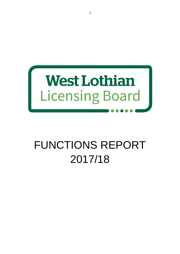

# FUNCTIONS REPORT 2017/18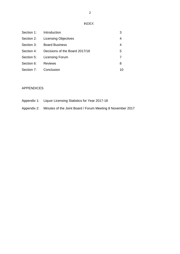INDEX

| Section 1: | Introduction                   | 3  |
|------------|--------------------------------|----|
| Section 2: | <b>Licensing Objectives</b>    | 4  |
| Section 3: | <b>Board Business</b>          | 4  |
| Section 4: | Decisions of the Board 2017/18 | 5  |
| Section 5: | <b>Licensing Forum</b>         |    |
| Section 6: | <b>Reviews</b>                 | 8  |
| Section 7: | Conclusion                     | 10 |

# APPENDICES

| Appendix 1: | Liquor Licensing Statistics for Year 2017-18 |
|-------------|----------------------------------------------|
|-------------|----------------------------------------------|

Appendix 2: Minutes of the Joint Board / Forum Meeting 8 November 2017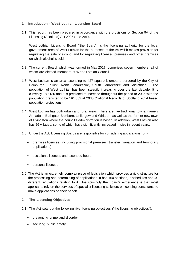# **1. Introduction - West Lothian Licensing Board**

1.1 This report has been prepared in accordance with the provisions of Section 9A of the Licensing (Scotland) Act 2005 ("the Act").

West Lothian Licensing Board ("the Board") is the licensing authority for the local government area of West Lothian for the purposes of the Act which makes provision for regulating the sale of alcohol and for regulating licensed premises and other premises on which alcohol is sold.

- 1.2 The current Board, which was formed in May 2017, comprises seven members, all of whom are elected members of West Lothian Council.
- 1.3 West Lothian is an area extending to 427 square kilometers bordered by the City of Edinburgh, Falkirk, North Lanarkshire, South Lanarkshire and Midlothian. The population of West Lothian has been steadily increasing over the last decade. It is currently 180,130 and it is predicted to increase throughout the period to 2035 with the population predicted to be 191,053 at 2035 (National Records of Scotland 2014 based population projections).
- 1.4 West Lothian has both urban and rural areas. There are five traditional towns, namely Armadale, Bathgate, Broxburn, Linlithgow and Whitburn as well as the former new town of Livingston where the council's administration is based. In addition, West Lothian also has 26 villages, some of which have significantly increased in size in recent years.
- 1.5 Under the Act, Licensing Boards are responsible for considering applications for:-
	- premises licences (including provisional premises, transfer, variation and temporary applications)
	- occasional licences and extended hours
	- personal licences
- 1.6 The Act is an extremely complex piece of legislation which provides a rigid structure for the processing and determining of applications. It has 150 sections, 7 schedules and 40 different regulations relating to it. Unsurprisingly the Board's experience is that most applicants rely on the services of specialist licensing solicitors or licensing consultants to make applications on their behalf.
- **2. The Licensing Objectives**
- 2.1 The Act sets out the following five licensing objectives ("the licensing objectives"):-
	- preventing crime and disorder
	- securing public safety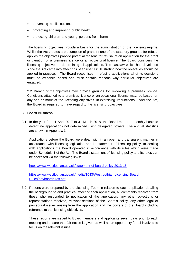- preventing public nuisance
- protecting and improving public health
- protecting children and young persons from harm

The licensing objectives provide a basis for the administration of the licensing regime. Whilst the Act creates a presumption of grant if none of the statutory grounds for refusal applies the objectives provide potential reasons for refusal of an application for the grant or variation of a premises licence or an occasional licence. The Board considers the licensing objectives in determining all applications. The caselaw which has developed since the Act came into effect has been useful in illustrating how the objectives should be applied in practice. The Board recognises in refusing applications all of its decisions must be evidence based and must contain reasons why particular objectives are engaged.

2.2. Breach of the objectives may provide grounds for reviewing a premises licence. Conditions attached to a premises licence or an occasional licence may, be based, on any one or more of the licensing objectives. In exercising its functions under the Act, the Board is required to have regard to the licensing objectives.

#### **3. Board Business**

3.1 In the year from 1 April 2017 to 31 March 2018, the Board met on a monthly basis to determine applications not determined using delegated powers. The annual statistics are shown in Appendix 1.

Applications before the Board were dealt with in an open and transparent manner in accordance with licensing legislation and its statement of licensing policy. In dealing with applications the Board operated in accordance with its rules which were made under Schedule 1 of the Act. The Board's statement of licensing policy and its rules can be accessed via the following links:

<https://www.westlothian.gov.uk/statement-of-board-policy-2013-16>

[https://www.westlothian.gov.uk/media/1043/West-Lothian-Licensing-Board-](https://www.westlothian.gov.uk/media/1043/West-Lothian-Licensing-Board-Rules/pdf/boardrules.pdf)[Rules/pdf/boardrules.pdf](https://www.westlothian.gov.uk/media/1043/West-Lothian-Licensing-Board-Rules/pdf/boardrules.pdf)

3.2 Reports were prepared by the Licensing Team in relation to each application detailing the background to and practical effect of each application, all comments received from those who responded to notification of the application, any other objections or representations received, relevant sections of the Board's policy, any other legal or procedural issues arising from the application and the powers of the Board including reference to the licensing objectives.

These reports are issued to Board members and applicants seven days prior to each meeting and ensure that fair notice is given as well as an opportunity for all involved to focus on the relevant issues.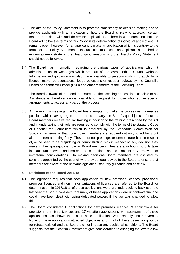- 3.3 The aim of the Policy Statement is to promote consistency of decision making and to provide applicants with an indication of how the Board is likely to approach certain matters and deal with and determine applications. There is a presumption that the Board will follow the terms of this Policy in its determination of individual applications. It remains open, however, for an applicant to make an application which is contrary to the terms of the Policy Statement. In such circumstances, an applicant is required to evidence/demonstrate to the Board good reasons why the Board's Policy Statement should not be followed.
- 3.4 The Board has information regarding the various types of applications which it administers on its webpages which are part of the West Lothian Council website. Information and guidance was also made available to persons wishing to apply for a licence, make representations, lodge objections or request reviews by the Council's Licensing Standards Officer (LSO) and other members of the Licensing Team.

The Board is aware of the need to ensure that the licensing process is accessible to all. Assistance is therefore always available on request for those who require special arrangements to access any part of the process.

3.5 At the monthly meetings, the Board has attempted to make the process as informal as possible whilst having regard to the need to carry the Board's quasi-judicial function. Board members receive regular training in addition to the training prescribed by the Act and in undertaking their role are required to comply with the terms of the statutory Code of Conduct for Councillors which is enforced by the Standards Commission for Scotland. In terms of that code Board members are required not only to act fairly but also be seen as acting fairly. They must not prejudge, or demonstrate bias in respect of, or be seen to be prejudging or demonstrating bias in respect of, any decision they make in their quasi-judicial role as Board members. They are also bound to only take into account relevant and material considerations and to discount any irrelevant or immaterial considerations. In making decisions Board members are assisted by solicitors appointed by the council who provide legal advice to the Board to ensure that members are aware of the relevant legislation, statutory guidance and caselaw.

#### **4 Decisions of the Board 2017/18**

- 4.1 The legislation requires that each application for new premises licences, provisional premises licences and non–minor variations of licences are referred to the Board for determination. In 2017/18 all of these applications were granted. Looking back over the last year the Board considers that many of these applications were uncontroversial and could have been dealt with using delegated powers if the law was changed to allow this.
- 4.2 The Board considered 6 applications for new premises licences, 3 applications for provisional premises licences and 17 variation applications. An assessment of these applications has shown that 18 of these applications were entirely uncontroversial. None of these applications attracted objections and in all of these cases no grounds for refusal existed and the Board did not impose any additional conditions. The Board suggests that the Scottish Government give consideration to changing the law to allow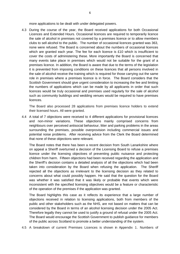more applications to be dealt with under delegated powers.

4.3 During the course of the year, the Board received applications for both Occasional Licences and Extended Hours. Occasional licences are required to temporarily licence the sale of alcohol in premises not covered by a premises licence or to allow members clubs to sell alcohol to the public. The number of occasional licences granted was 363, none were refused. The Board is concerned about the numbers of occasional licences which are granted each year. The fee for each licence is £10 which is insufficient to cover the costs of administering these. More importantly the Board is concerned that many events take place in premises which would not be suitable for the grant of a premises licence. In addition, the Board is aware that due to the terms of the legislation it is prevented from imposing conditions on these licences that all persons involved in the sale of alcohol receive the training which is required for those carrying out the same role in premises where a premises licence is in force. The Board considers that the Scottish Government should give urgent consideration to increasing the fee and limiting the numbers of applications which can be made by all applicants in order that such licences would be truly occasional and premises used regularly for the sale of alcohol such as community buildings and wedding venues would be required to have premises licences.

The Board also processed 28 applications from premises licence holders to extend their licensed hours. All were granted.

4.4 A total of 7 objections were received to 4 different applications for provisional licences and non-minor variations. These objections mainly comprised concerns from neighbours over perceived antisocial behaviour, litter and parking problems in the areas surrounding the premises, possible overprovision including commercial issues and potential noise problems. After receiving advice from the Clerk the Board determined that none of these objections were relevant.

The Board notes that there has been a recent decision from South Lanarkshire where on appeal a Sheriff overturned a decision of the Licensing Board to refuse a premises licence under the licensing objectives of preventing public nuisance and protecting children from harm. Fifteen objections had been received regarding the application and the Sheriff's decision contains a detailed analysis of all the objections which had been taken into consideration by the Board when refusing the application. The Sheriff rejected all the objections as irrelevant to the licensing decision as they related to concerns about what could possibly happen. He said that the question for the Board was whether it was satisfied that it was likely or probable that events which were inconsistent with the specified licensing objectives would be a feature or characteristic of the operation of the premises if the application was granted.

The Board highlights this case as it reflects its experience that a large number of objections received in relation to licensing applications, both from members of the public and other stakeholders such as the NHS, are not based on matters that can be considered by the Board in terms of an alcohol licensing decision under the 2005 Act. Therefore legally they cannot be used to justify a ground of refusal under the 2005 Act. The Board would encourage the Scottish Government to publish guidance for members of the public across Scotland to promote a better understanding of the system.

4.5 A breakdown of current Premises Licences is shown in Appendix 1. Numbers of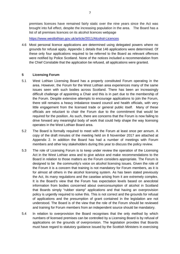premises licences have remained fairly static over the nine years since the Act was brought into full effect, despite the increasing population in the area. The Board has a list of all premises licences on its alcohol licences webpage

<https://www.westlothian.gov.uk/article/2011/Alcohol-Licences>

4.6 Most personal licence applications are determined using delegated powers where no grounds for refusal apply. Appendix 1 details that 146 applications were determined. Of these only four applications required to be referred to the Board as relevant offences were notified by Police Scotland. None of the notices included a recommendation from the Chief Constable that the application be refused, all applications were granted.

# **5 Licensing Forum**

- 5.1 West Lothian Licensing Board has a properly constituted Forum operating in the area. However, the Forum for the West Lothian area experiences many of the same issues seen with such bodies across Scotland. There has been an increasingly difficult challenge of appointing a Chair and this is in part due to the membership of the Forum. Despite extensive attempts to encourage applications to join the Forum, there still remains a heavy imbalance toward council and health officials, with very little engagement from the licensed trade or general public itself. Many of these officials are reluctant to chair the Forum due to the commitment that would be required for the position. As such, there are concerns that the Forum is now failing to drive forward any meaningful body of work that could help shape the way licensing operates in the West Lothian Board area.
- 5.2 The Board is formally required to meet with the Forum at least once per annum. A copy of the draft minutes of the meeting held on 8 November 2017 are attached at Appendix 2. In addition the Board has had a number of meetings with Forum members and other key stakeholders during this year to discuss the policy review.
- 5.3 The role of Licensing Forum is to keep under review the operation of the Licensing Act in the West Lothian area and to give advice and make recommendations to the Board in relation to those matters as the Forum considers appropriate. The Forum is designed to be the community's voice on alcohol licensing issues. Given the role of the Forum it is a concern that training is not mandatory for Forum members, as it is for almost all others in the alcohol licensing system. As has been stated previously the Act, its many regulations and the caselaw arising from it are extremely complex. It is the Board's view that the Forum has expectation levels based on anecdotal information from bodies concerned about overconsumption of alcohol in Scotland that Boards simply "rubber stamp" applications and that having an overprovision policy is urgently required to solve this. This is not correct and the grounds for refusal of applications and the presumption of grant contained in the legislation are not understood. The Board is of the view that the role of the Forum should be reviewed and training for Forum members from an independent source should be mandatory.
- 5.4 In relation to overprovision the Board recognises that the only method by which numbers of licensed premises can be controlled by a Licensing Board is by refusal of applications on the grounds of overprovision. The legislation provides that Boards must have regard to statutory guidance issued by the Scottish Ministers in exercising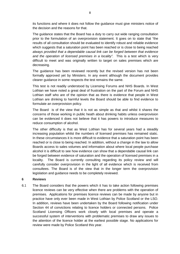its functions and where it does not follow the guidance must give ministers notice of the decision and the reasons for that.

The guidance states that the Board has a duty to carry out wide ranging consultation prior to the formulation of an overprovision statement. It goes on to state that "the results of all consultation should be evaluated to identify robust and reliable evidence which suggests that a saturation point has been reached or is close to being reached *always provided that a dependable causal link can be forged between that evidence and the operation of licensed premises in a locality*". This is a test which is very difficult to meet and was originally written to target on sales premises which are decreasing.

The guidance has been reviewed recently but the revised version has not been formally approved yet by Ministers. In any event although the document provides clearer guidance in some respects the test remains the same.

This test is not readily understood by Licensing Forums and NHS Boards. In West Lothian we have noted a great deal of frustration on the part of the Forum and NHS Lothian staff who are of the opinion that as there is evidence that people in West Lothian are drinking to harmful levels the Board should be able to find evidence to formulate an overprovision policy.

The Board is of the view that it is not as simple as that and whilst it shares the concerns of those working in public heath about drinking habits unless overprovision can be evidenced it does not believe that it has powers to introduce measures to reduce consumption of alcohol.

The other difficulty is that as West Lothian has for several years had a steadily increasing population whilst the numbers of licensed premises has remained static. In these circumstances it is more difficult to evidence that a saturation point has been reached or is close to being reached. In addition, without a change in the law to allow Boards access to sales volumes and information about where local people purchase alcohol it is difficult to see how evidence can show that a dependable causal link can be forged between evidence of saturation and the operation of licensed premises in a locality. The Board is currently consulting regarding its policy review and will carefully consider overprovision in the light of all evidence which is received from consultees. The Board is of the view that in the longer term the overprovision legislation and guidance needs to be completely reviewed.

#### **6 Reviews**

6.1 The Board considers that the powers which it has to take action following premises licence reviews can be very effective when there are problems with the operation of premises. Applications for premises licence reviews can be made by anyone but in practice have only ever been made in West Lothian by Police Scotland or the LSO. In addition, reviews have been undertaken by the Board following notification under Section 44 of convictions relating to licence holders or connected persons. Police Scotland Licensing Officers work closely with local premises and operate a successful system of interventions with problematic premises to draw any issues to the attention of the licence holder at the earliest possible stage. No applications for review were made by Police Scotland this year.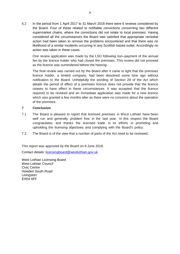6.2 In the period from 1 April 2017 to 31 March 2018 there were 6 reviews considered by the Board. Four of these related to notifiable convictions concerning two different supermarket chains, where the convictions did not relate to local premises. Having considered all the circumstances the Board was satisfied that appropriate remedial action had been taken to remove the problems encountered and that there was no likelihood of a similar incidents occurring in any Scottish based outlet. Accordingly no action was taken in these cases.

One review application was made by the LSO following non–payment of the annual fee by the licence holder who had closed the premises. This review did not proceed as the licence was surrendered before the hearing.

The final review was carried out by the Board after it came to light that the premises licence holder, a limited company, had been dissolved some time ago without notification to the Board. Unhelpfully the wording of Section 28 of the Act which details the period of effect of a premises licence does not provide that the licence ceases to have effect in these circumstances. It was accepted that the licence required to be revoked and an immediate application was made for a new licence which was granted a few months alter as there were no concerns about the operation of the premises.

# **7 Conclusion**

- 7.1 The Board is pleased to report that licensed premises in West Lothian have been well run and generally problem free in the last year. In this respect the Board congratulates and thanks the licensed trade in its efforts in promoting and upholding the licensing objectives and complying with the Board's policy.
- 7.2 The Board is of the view that a number of parts of the Act need to be reviewed.

This report was approved by the Board on 8 June 2018.

Contact details: [licensingboard@westlothian.gov.uk](mailto:licensingboard@westlothian.gov.uk)

West Lothian Licensing Board West Lothian Council Civic Centre Howden South Road **Livingston** EH54 6FF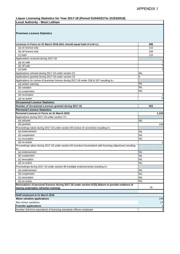# **Liquor Licensing Statistics for Year 2017-18 (Period 01/04/2017to 31/03/2018)**

| <b>Local Authority - West Lothian</b>                                                                                |                          |  |  |
|----------------------------------------------------------------------------------------------------------------------|--------------------------|--|--|
| <b>Premises Licence Statistics</b>                                                                                   |                          |  |  |
| Licences in Force on 31 March 2018 (this should equal total of a+b+c)                                                | 388                      |  |  |
| (a) on licence only                                                                                                  | 115                      |  |  |
| (b) off licence only                                                                                                 | 158                      |  |  |
| (c) both                                                                                                             | 115                      |  |  |
| Applications received during 2017-18                                                                                 |                          |  |  |
| (a) on sale                                                                                                          | 1                        |  |  |
| (b) off sale                                                                                                         | 7                        |  |  |
| (c) both                                                                                                             | 1                        |  |  |
| Applications refused during 2017-18 under section 23                                                                 | <b>NIL</b>               |  |  |
| Applications granted during 2017-18 under section 23                                                                 | 9                        |  |  |
| Applications for review of premises licence during 2017-18 under S36 & S37 resulting in:-                            |                          |  |  |
| (a) written warning                                                                                                  | <b>NIL</b>               |  |  |
| (b) variation                                                                                                        | <b>NIL</b>               |  |  |
| (c) suspension                                                                                                       | <b>NIL</b>               |  |  |
| (d) revocation                                                                                                       | 1                        |  |  |
| (e) no action                                                                                                        | 5                        |  |  |
| <b>Occasional Licence Statistics</b>                                                                                 |                          |  |  |
| Number of Occasional Licences granted during 2017-18                                                                 | 363                      |  |  |
| <b>Personal Licence Statistics</b>                                                                                   |                          |  |  |
| Personal Licences in Force on 31 March 2018                                                                          | 1,316                    |  |  |
| Applications during 2017-18 under section 72:-                                                                       |                          |  |  |
| (a) refused                                                                                                          | <b>NIL</b>               |  |  |
| (b) granted                                                                                                          | 146                      |  |  |
| Proceedings taken during 2017-18 under section 83 (notice of conviction) resulting in:-                              |                          |  |  |
| (a) endorsement                                                                                                      | <b>NIL</b>               |  |  |
| (b) suspension                                                                                                       | <b>NIL</b>               |  |  |
| (c) revocation                                                                                                       | <b>NIL</b>               |  |  |
| (d) no action                                                                                                        | 1                        |  |  |
| Proceedings taken during 2017-18 under section 84 (conduct inconsistent with licensing objectives) resulting<br>in:- |                          |  |  |
| (a) endorsement                                                                                                      | <b>NIL</b>               |  |  |
| (b) suspension                                                                                                       | NIL                      |  |  |
| (c) revocation                                                                                                       | <b>NIL</b>               |  |  |
| (d) no action                                                                                                        | <b>NIL</b>               |  |  |
| Proceedings during 2017-18 under section 86 (multiple endorsements) resulting in:-<br>(a) endorsement                |                          |  |  |
|                                                                                                                      | <b>NIL</b><br><b>NIL</b> |  |  |
| (b) suspension<br>(c) revocation                                                                                     | <b>NIL</b>               |  |  |
| (d) no action                                                                                                        | <b>NIL</b>               |  |  |
| Revocations of personal licences during 2017-18 under section 87(3) (failure to provide evidence of                  |                          |  |  |
| having undertaken refresher training)                                                                                | 78                       |  |  |
| Staff employed at 31 March 2018                                                                                      |                          |  |  |
| <b>Minor variation applications</b>                                                                                  | 149                      |  |  |
| Non-minor variations                                                                                                 | 17                       |  |  |
| <b>Transfer applications</b>                                                                                         | $\mathbf{1}$             |  |  |
| Number (full-time equivalent) of licensing standards officers employed                                               | $\mathbf{1}$             |  |  |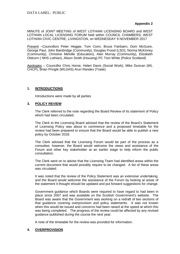MINUTE of JOINT MEETING of WEST LOTHIAN LICENSING BOARD and WEST LOTHIAN LOCAL LICENSING FORUM held within COUNCIL CHAMBERS, WEST LOTHIAN CIVIC CENTRE, LIVINGSTON, on WEDNESDAY 9 NOVEMBER 2017

Present –Councillors Peter Heggie, Tom Conn, Bruce Fairbairn, Dom McGuire, George Paul, John Bainbridge (Community), Douglas Frood (LSO), Norma McKinney (Community), Christine Melville (Education), Alan Murray (Community), Elizabeth Oldcorn ( NHS Lothian), Alison Smith (Housing) PC Tom White (Police Scotland)

Apologies – Councillor Chris Horne, Helen Davis (Social Work), Mike Duncan (WL CHCP), Brian Pringle (WLDAS) Arun Randev (Trade)

# **1. INTRODUCTIONS**

Introductions were made by all parties

# **3. POLICY REVIEW**

The Clerk referred to the note regarding the Board Review of its statement of Policy which had been circulated.

The Clerk to the Licensing Board advised that the review of the Board's Statement of Licensing Policy was about to commence and a proposed timetable for the review had been prepared to ensure that the Board would be able to publish a new policy by October 2018.

The Clerk advised that the Licensing Forum would be part of the process as a consultee; however, the Board would welcome the views and assistance of the Forum and other key stakeholder at an earlier stage to help inform the public consultation.

The Clerk went on to advise that the Licensing Team had identified areas within the current document that would possibly require to be changed. A list of these areas was circulated.

It was noted that the review of the Policy Statement was an extensive undertaking, and the Board would welcome the assistance of the Forum by looking at areas of the statement it thought should be updated and put forward suggestions for change.

Government guidance which Boards were required to have regard to had been in place since 2007 and was available on the Scottish Government's website. The Board was aware that the Government was working on a redraft of two sections of that guidance covering overprovision and policy statements. It was not known when this would be issued and concerns had been raised at the speed at which this was being completed. The progress of the review could be affected by any revised guidance published during the course the next year.

A note of the timetable for the review was provided for information.

# **4. OVERPROVISION**